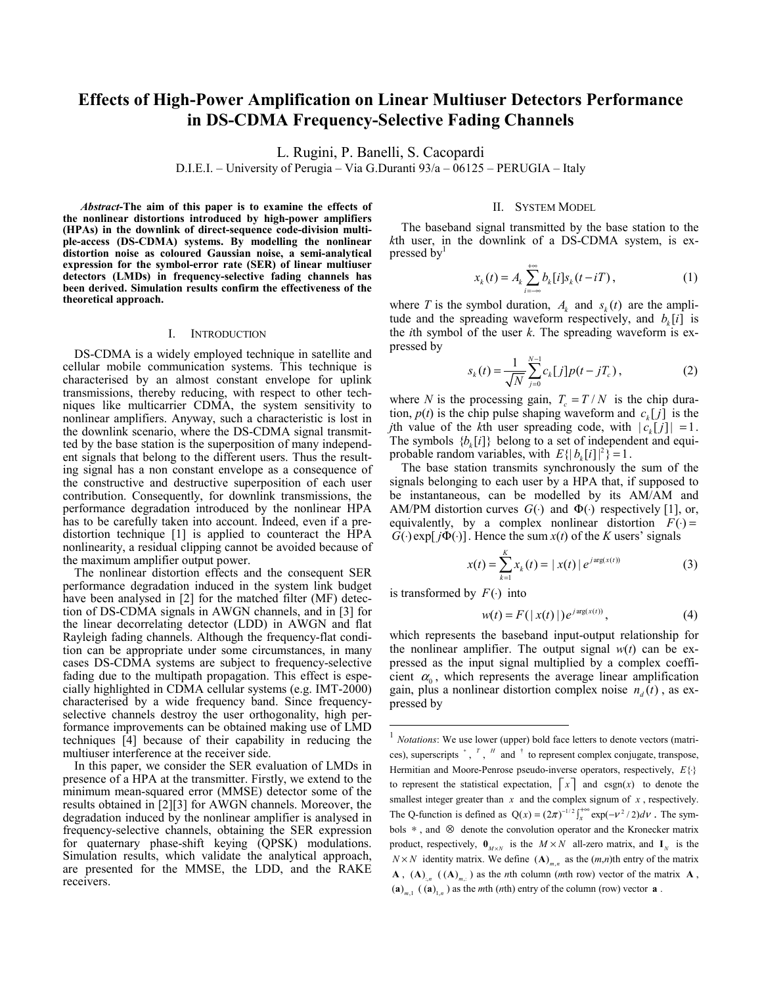# **Effects of High-Power Amplification on Linear Multiuser Detectors Performance in DS-CDMA Frequency-Selective Fading Channels**

L. Rugini, P. Banelli, S. Cacopardi

D.I.E.I. – University of Perugia – Via G.Duranti 93/a – 06125 – PERUGIA – Italy

*Abstract***-The aim of this paper is to examine the effects of the nonlinear distortions introduced by high-power amplifiers (HPAs) in the downlink of direct-sequence code-division multiple-access (DS-CDMA) systems. By modelling the nonlinear distortion noise as coloured Gaussian noise, a semi-analytical expression for the symbol-error rate (SER) of linear multiuser detectors (LMDs) in frequency-selective fading channels has been derived. Simulation results confirm the effectiveness of the theoretical approach.** 

#### I. INTRODUCTION

DS-CDMA is a widely employed technique in satellite and cellular mobile communication systems. This technique is characterised by an almost constant envelope for uplink transmissions, thereby reducing, with respect to other techniques like multicarrier CDMA, the system sensitivity to nonlinear amplifiers. Anyway, such a characteristic is lost in the downlink scenario, where the DS-CDMA signal transmitted by the base station is the superposition of many independent signals that belong to the different users. Thus the resulting signal has a non constant envelope as a consequence of the constructive and destructive superposition of each user contribution. Consequently, for downlink transmissions, the performance degradation introduced by the nonlinear HPA has to be carefully taken into account. Indeed, even if a predistortion technique [1] is applied to counteract the HPA nonlinearity, a residual clipping cannot be avoided because of the maximum amplifier output power.

The nonlinear distortion effects and the consequent SER performance degradation induced in the system link budget have been analysed in [2] for the matched filter (MF) detection of DS-CDMA signals in AWGN channels, and in [3] for the linear decorrelating detector (LDD) in AWGN and flat Rayleigh fading channels. Although the frequency-flat condition can be appropriate under some circumstances, in many cases DS-CDMA systems are subject to frequency-selective fading due to the multipath propagation. This effect is especially highlighted in CDMA cellular systems (e.g. IMT-2000) characterised by a wide frequency band. Since frequencyselective channels destroy the user orthogonality, high performance improvements can be obtained making use of LMD techniques [4] because of their capability in reducing the multiuser interference at the receiver side.

In this paper, we consider the SER evaluation of LMDs in presence of a HPA at the transmitter. Firstly, we extend to the minimum mean-squared error (MMSE) detector some of the results obtained in [2][3] for AWGN channels. Moreover, the degradation induced by the nonlinear amplifier is analysed in frequency-selective channels, obtaining the SER expression for quaternary phase-shift keying (QPSK) modulations. Simulation results, which validate the analytical approach, are presented for the MMSE, the LDD, and the RAKE receivers.

## II. SYSTEM MODEL

The baseband signal transmitted by the base station to the *k*th user, in the downlink of a DS-CDMA system, is expressed by $<sup>1</sup>$ </sup>

$$
x_k(t) = A_k \sum_{i=-\infty}^{+\infty} b_k[i] s_k(t - iT), \qquad (1)
$$

where *T* is the symbol duration,  $A_k$  and  $s_k(t)$  are the amplitude and the spreading waveform respectively, and  $b_k[i]$  is the *i*th symbol of the user *k*. The spreading waveform is expressed by 1

$$
s_k(t) = \frac{1}{\sqrt{N}} \sum_{j=0}^{N-1} c_k[j] p(t - jT_c),
$$
 (2)

where *N* is the processing gain,  $T_c = T/N$  is the chip duration,  $p(t)$  is the chip pulse shaping waveform and  $c_k[j]$  is the *j*th value of the *k*th user spreading code, with  $|c_k[j]| = 1$ . The symbols  ${b<sub>k</sub>[i]}$  belong to a set of independent and equiprobable random variables, with  $E\{|b_i[i]|^2\} = 1$ .

The base station transmits synchronously the sum of the signals belonging to each user by a HPA that, if supposed to be instantaneous, can be modelled by its AM/AM and AM/PM distortion curves  $G(\cdot)$  and  $\Phi(\cdot)$  respectively [1], or, equivalently, by a complex nonlinear distortion  $F(\cdot) =$  $G(\cdot)$ exp[ $j\Phi(\cdot)$ ]. Hence the sum  $x(t)$  of the *K* users' signals

$$
x(t) = \sum_{k=1}^{K} x_k(t) = |x(t)| e^{j \arg(x(t))}
$$
 (3)

is transformed by  $F(\cdot)$  into

 $\overline{a}$ 

$$
w(t) = F(|x(t)|)e^{j \arg(x(t))}, \t(4)
$$

which represents the baseband input-output relationship for the nonlinear amplifier. The output signal  $w(t)$  can be expressed as the input signal multiplied by a complex coefficient  $\alpha_0$ , which represents the average linear amplification gain, plus a nonlinear distortion complex noise  $n_a(t)$ , as expressed by

<sup>&</sup>lt;sup>1</sup> *Notations*: We use lower (upper) bold face letters to denote vectors (matrices), superscripts <sup>∗</sup> , *<sup>T</sup>* , *<sup>H</sup>* and † to represent complex conjugate, transpose, Hermitian and Moore-Penrose pseudo-inverse operators, respectively, *E*{⋅} to represent the statistical expectation,  $\lceil x \rceil$  and  $\text{csgn}(x)$  to denote the smallest integer greater than *x* and the complex signum of *x* , respectively. The Q-function is defined as  $Q(x) = (2\pi)^{-1/2} \int_x^{+\infty} \exp(-v^2/2) dv$ . The symbols ∗ , and ⊗ denote the convolution operator and the Kronecker matrix product, respectively,  $\mathbf{0}_{M \times N}$  is the  $M \times N$  all-zero matrix, and  $\mathbf{I}_{N}$  is the  $N \times N$  identity matrix. We define  $(A)_{m,n}$  as the  $(m,n)$ th entry of the matrix **A**,  $(A)$ <sub>*n*,  $(A)$ <sub>*m*,</sub>  $(A)$ <sub>*m*</sub>,  $(B)$  as the *n*th column (*m*th row) vector of the matrix **A**,</sub>  $(a)_{m,1}$   $((a)_{1,n})$  as the *m*th (*n*th) entry of the column (row) vector **a**.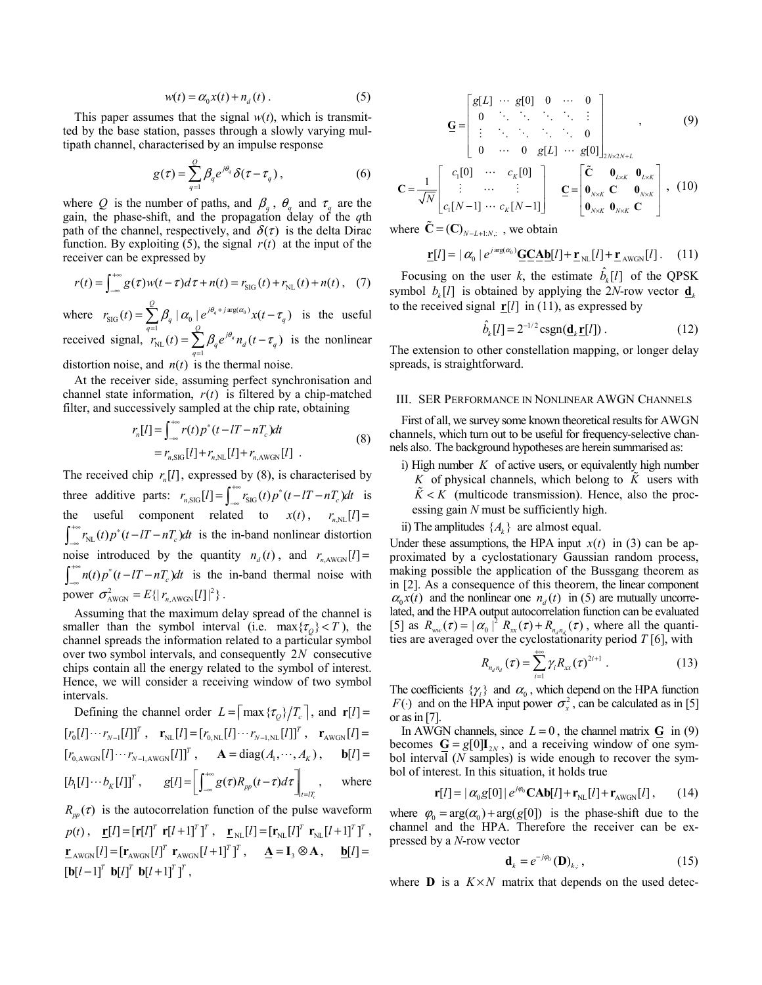$$
w(t) = \alpha_0 x(t) + n_d(t) \tag{5}
$$

This paper assumes that the signal  $w(t)$ , which is transmitted by the base station, passes through a slowly varying multipath channel, characterised by an impulse response

$$
g(\tau) = \sum_{q=1}^{Q} \beta_q e^{j\theta_q} \delta(\tau - \tau_q) , \qquad (6)
$$

where *Q* is the number of paths, and  $\beta_q$ ,  $\theta_q$  and  $\tau_q$  are the gain, the phase-shift, and the propagation delay of the *q*th path of the channel, respectively, and  $\delta(\tau)$  is the delta Dirac function. By exploiting (5), the signal  $r(t)$  at the input of the receiver can be expressed by

$$
r(t) = \int_{-\infty}^{+\infty} g(\tau) w(t - \tau) d\tau + n(t) = r_{\rm SIG}(t) + r_{\rm NL}(t) + n(t), \quad (7)
$$

where  $r_{\text{SIG}}(t) = \sum_{q=1}^{\infty} \beta_q \left| \alpha_0 \right| e^{j\theta_q + j \arg(\alpha_0)}$  $g(t) = \sum_{i=1}^{Q} \beta_a \left| \alpha_0 \right| e^{j\theta_q + j \arg(\alpha_0)} x(t - \tau_a)$  $\sum_{q=1} P_q |\alpha_0| \epsilon$   $\lambda(\ell \ell_q)$  $r_{\rm SIG}(t) = \sum_{\alpha=0}^{\infty} \int_{\mathcal{A}} |\alpha_0| \, e^{j \theta_q + j \arg(\alpha_0)} x(t - \tau)$  $=\sum_{q=1}^{\infty} \beta_q |\alpha_0| e^{j\theta_q + j \arg(\alpha_0)} x(t-\tau_q)$  is the useful received signal,  $r_{NL}(t) = \sum_{q=1}^{N}$  $g(t) = \sum_{i=1}^{Q} \beta_{i} e^{j\theta_{q}} n_{d} (t - \tau_{d})$  $\sum_{q=1} P_q$ **c**  $n_d$ *l***<sub>***l***</sub>**  $\iota_q$  $r_{\rm NL}(t) = \sum \beta_a e^{j\theta_q} n_d(t - \tau)$  $=\sum_{q=1}^{\infty} \beta_q e^{j\theta_q} n_d(t-\tau_q)$  is the nonlinear

distortion noise, and  $n(t)$  is the thermal noise.

At the receiver side, assuming perfect synchronisation and channel state information,  $r(t)$  is filtered by a chip-matched filter, and successively sampled at the chip rate, obtaining

$$
r_n[I] = \int_{-\infty}^{+\infty} r(t) p^*(t - lT - nT_c) dt
$$
  
= 
$$
r_{n,\text{SIG}}[I] + r_{n,\text{NL}}[I] + r_{n,\text{AWGN}}[I]
$$
 (8)

The received chip  $r_n[l]$ , expressed by (8), is characterised by three additive parts:  $r_{n, \text{SIG}}[l] = \int_{-\infty}^{+\infty} r_{\text{SIG}}(t) p^*(t - lT - nT_c) dt$  is the useful component related to  $x(t)$ ,  $r_{n,NL}[l] =$  $\int_{-\infty}^{+\infty} r_{NL}(t) p^{*}(t - lT - nT_c) dt$  is the in-band nonlinear distortion noise introduced by the quantity  $n_d(t)$ , and  $r_{n,AWGN}[l] =$  $\int_{-\infty}^{+\infty} n(t) p^*(t - tT - nT_c) dt$  is the in-band thermal noise with power  $\sigma_{\text{AWGN}}^2 = E\{ |r_{n,\text{AWGN}}[l]|^2 \}$ .

Assuming that the maximum delay spread of the channel is smaller than the symbol interval (i.e.  $\max{\lbrace \tau_o \rbrace} < T$ ), the channel spreads the information related to a particular symbol over two symbol intervals, and consequently 2*N* consecutive chips contain all the energy related to the symbol of interest. Hence, we will consider a receiving window of two symbol intervals.

Defining the channel order  $L = \left[ \max \{ \tau_o \} / T_c \right]$ , and  $\mathbf{r}[l] =$  $[r_0[l] \cdots r_{N-1}[l]]^T$ ,  $\mathbf{r}_{N}$  $[l] = [r_{0,N} [l] \cdots r_{N-1,N} [l]]^T$ ,  $\mathbf{r}_{N}$ <sub>AWGN</sub> $[l] =$  $[r_{0,AWGN}[l] \cdots r_{N-1,AWGN}[l]]^T$ ,  $\mathbf{A} = \text{diag}(A_1, \cdots, A_K)$ ,  $\mathbf{b}[l] =$  $[b_1[t] \cdots b_k[t]]^T$ ,  $g[t] = \left[ \int_{-\infty}^{\infty} g(\tau) R_{pp}(t-\tau) d\tau \right]_{t=tT_c}$  $g[l] = \int_{0}^{+\infty} g(\tau) R_{m}(t-\tau) d\tau$  $=\left[\int_{-\infty}^{+\infty} g(\tau) R_{pp}(t-\tau) d\tau\right]_{t=T_c}, \text{ where}$ 

 $R_{mn}(\tau)$  is the autocorrelation function of the pulse waveform  $p(t)$ ,  $\mathbf{r}[l] = [\mathbf{r}[l]^T \mathbf{r}[l+1]^T]^T$ ,  $\mathbf{r}_{NL}[l] = [\mathbf{r}_{NL}[l]^T \mathbf{r}_{NL}[l+1]^T]^T$ ,  $\underline{\mathbf{r}}_{\text{AWGN}}[l] = [\mathbf{r}_{\text{AWGN}}[l]^T \ \mathbf{r}_{\text{AWGN}}[l+1]^T]^T$ ,  $\underline{\mathbf{A}} = \mathbf{I}_3 \otimes \mathbf{A}$ ,  $\underline{\mathbf{b}}[l] =$  $\left[ \mathbf{b} [l - 1]^T \mathbf{b} [l]^T \mathbf{b} [l + 1]^T \right]^T$ ,

$$
\mathbf{G} = \begin{bmatrix} g[L] & \cdots & g[0] & 0 & \cdots & 0 \\ 0 & \ddots & \ddots & \ddots & \ddots & \vdots \\ \vdots & \ddots & \ddots & \ddots & \ddots & 0 \\ 0 & \cdots & 0 & g[L] & \cdots & g[0]] \end{bmatrix}_{2N \times 2N+L}, \qquad (9)
$$

$$
\mathbf{C} = \frac{1}{\sqrt{N}} \begin{bmatrix} c_1[0] & \cdots & c_K[0] \\ \vdots & \cdots & \vdots \\ c_1[N-1] & \cdots & c_K[N-1] \end{bmatrix} \quad \mathbf{C} = \begin{bmatrix} \tilde{\mathbf{C}} & \mathbf{0}_{L \times K} & \mathbf{0}_{L \times K} \\ \mathbf{0}_{N \times K} & \mathbf{C} & \mathbf{0}_{N \times K} \\ \mathbf{0}_{N \times K} & \mathbf{0}_{N \times K} & \mathbf{C} \end{bmatrix}, \tag{10}
$$

where  $\mathbf{C} = (\mathbf{C})_{N-L+1:N}$ , we obtain

$$
\mathbf{r}[l] = |\alpha_0| e^{j \arg(\alpha_0)} \mathbf{G} \mathbf{C} \mathbf{A} \mathbf{b}[l] + \mathbf{r}_{NL}[l] + \mathbf{r}_{AWGN}[l]. \quad (11)
$$

Focusing on the user  $k$ , the estimate  $b_k[l]$  of the QPSK symbol  $b_k[l]$  is obtained by applying the 2*N*-row vector  $\mathbf{d}_k$ to the received signal  $\mathbf{r}[l]$  in (11), as expressed by

$$
\hat{b}_{k}[l] = 2^{-1/2} \operatorname{csgn}(\mathbf{d}_{k} \mathbf{r}[l]). \tag{12}
$$

The extension to other constellation mapping, or longer delay spreads, is straightforward.

#### III. SER PERFORMANCE IN NONLINEAR AWGN CHANNELS

First of all, we survey some known theoretical results for AWGN channels, which turn out to be useful for frequency-selective channels also. The background hypotheses are herein summarised as:

i) High number  $K$  of active users, or equivalently high number *K* of physical channels, which belong to *K* users with  $K < K$  (multicode transmission). Hence, also the processing gain *N* must be sufficiently high.

Under these assumptions, the HPA input  $x(t)$  in (3) can be approximated by a cyclostationary Gaussian random process, making possible the application of the Bussgang theorem as in [2]. As a consequence of this theorem, the linear component  $\alpha_0 x(t)$  and the nonlinear one  $n_a(t)$  in (5) are mutually uncorrelated, and the HPA output autocorrelation function can be evaluated [5] as  $R_{ww}(\tau) = |\alpha_0|^2 R_{xx}(\tau) + R_{n_a n_a}(\tau)$ , where all the quantities are averaged over the cyclostationarity period *T* [6], with

$$
R_{n_{a}n_{a}}(\tau) = \sum_{i=1}^{+\infty} \gamma_{i} R_{xx}(\tau)^{2i+1} . \qquad (13)
$$

The coefficients  $\{\gamma_i\}$  and  $\alpha_0$ , which depend on the HPA function *F*( $\cdot$ ) and on the HPA input power  $\sigma_x^2$ , can be calculated as in [5] or as in  $[7]$ .

In AWGN channels, since  $L = 0$ , the channel matrix **G** in (9) becomes  $G = g[0]I_{2N}$ , and a receiving window of one symbol interval (*N* samples) is wide enough to recover the symbol of interest. In this situation, it holds true

$$
\mathbf{r}[l] = |\alpha_0 g[0]| e^{j\varphi_0} \mathbf{CAb}[l] + \mathbf{r}_{\text{NL}}[l] + \mathbf{r}_{\text{AWGN}}[l], \qquad (14)
$$

where  $\varphi_0 = \arg(\alpha_0) + \arg(g[0])$  is the phase-shift due to the channel and the HPA. Therefore the receiver can be expressed by a *N*-row vector

$$
\mathbf{d}_{k} = e^{-j\varphi_{0}}(\mathbf{D})_{k,:},\tag{15}
$$

where **D** is a  $K \times N$  matrix that depends on the used detec-

ii) The amplitudes  $\{A_k\}$  are almost equal.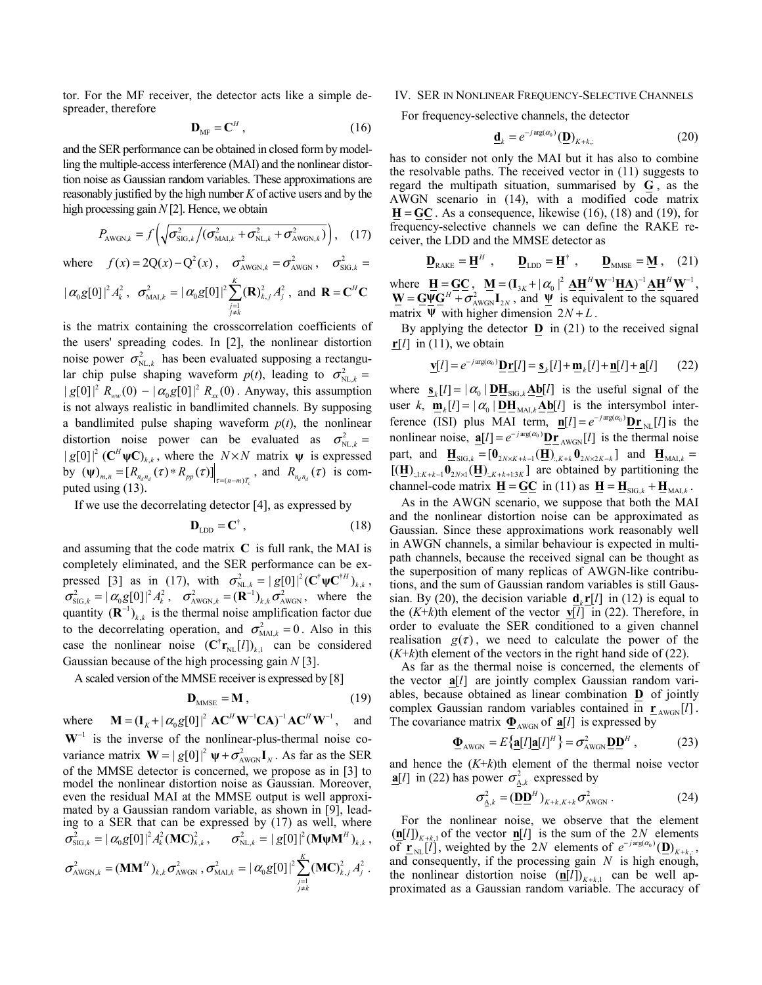tor. For the MF receiver, the detector acts like a simple despreader, therefore

$$
\mathbf{D}_{\mathrm{MF}} = \mathbf{C}^H \,, \tag{16}
$$

and the SER performance can be obtained in closed form by modelling the multiple-access interference (MAI) and the nonlinear distortion noise as Gaussian random variables. These approximations are reasonably justified by the high number *K* of active users and by the high processing gain  $N[2]$ . Hence, we obtain

$$
P_{\text{AWGN},k} = f\left(\sqrt{\sigma_{\text{SIG},k}^2/(\sigma_{\text{MAI},k}^2 + \sigma_{\text{NL},k}^2 + \sigma_{\text{AWGN},k}^2)}\right), (17)
$$

where  $f(x) = 2Q(x) - Q^2(x)$ ,  $\sigma_{AWGN,k}^2 = \sigma_{AWGN}^2$ ,  $\sigma_{SIG,k}^2 =$  $|\alpha_{0}g[0]|^2 A_{k}^2, \ \ \sigma_{{\rm{MAI}},k}^2 = |\alpha_{0}g[0]|^2 \sum_{j=1}({\bf R})_{k,j}^2 A_{j}^2$  $| \alpha_0 g[0]|^2 \sum_{k=1}^{K} (R)$  $\sum_{\substack{j=1 \ j \neq k}} \left(\mathbf{I} \mathbf{X} \right)_{k,j} A_j$  $\alpha_0 g[0]^2 \sum_{k} (R)_{k}^2 A$ = ≠  $\sum (\mathbf{R})_{k,j}^2 A_j^2$ , and  $\mathbf{R} = \mathbf{C}^H \mathbf{C}$ 

is the matrix containing the crosscorrelation coefficients of the users' spreading codes. In [2], the nonlinear distortion noise power  $\sigma_{NL,k}^2$  has been evaluated supposing a rectangular chip pulse shaping waveform  $p(t)$ , leading to  $\sigma_{NL,k}^2 =$  $|g[0]|^2 R_{ww}(0) - |\alpha_0 g[0]|^2 R_{xx}(0)$ . Anyway, this assumption is not always realistic in bandlimited channels. By supposing a bandlimited pulse shaping waveform  $p(t)$ , the nonlinear distortion noise power can be evaluated as  $\sigma_{NL,k}^2 =$  $|g[0]|^2$  ( $\mathbb{C}^H \psi \mathbb{C}_{k,k}$ , where the *N*×*N* matrix  $\psi$  is expressed by  $(\Psi)_{m,n} = [R_{n_q n_q}(\tau) * R_{pp}(\tau)]_{\tau = (n-m)T_c}$ , and  $R_{n_q n_q}(\tau)$  is computed using (13).

If we use the decorrelating detector [4], as expressed by

$$
\mathbf{D}_{\text{LDD}} = \mathbf{C}^{\dagger} \,, \tag{18}
$$

and assuming that the code matrix **C** is full rank, the MAI is completely eliminated, and the SER performance can be expressed [3] as in (17), with  $\sigma_{NL,k}^2 = |g[0]|^2 (\mathbf{C}^\dagger \mathbf{\psi} \mathbf{C}^{\dagger H})_{k,k}$ ,  $\sigma_{\text{SIG},k}^2 = |\alpha_0 g[0]|^2 A_k^2$ ,  $\sigma_{\text{AWGN},k}^2 = (\mathbf{R}^{-1})_{k,k} \sigma_{\text{AWGN}}^2$ , where the quantity  $(\mathbf{R}^{-1})_{k,k}$  is the thermal noise amplification factor due to the decorrelating operation, and  $\sigma_{\text{MAI},k}^2 = 0$ . Also in this case the nonlinear noise  $(C^{\dagger}r_{NL}[l])_{k,l}$  can be considered Gaussian because of the high processing gain *N* [3].

A scaled version of the MMSE receiver is expressed by [8]

$$
\mathbf{D}_{\text{MMSE}} = \mathbf{M} \,, \tag{19}
$$

where  $\mathbf{M} = (\mathbf{I}_K + |\alpha_0 g[0]|^2 \mathbf{A} \mathbf{C}^H \mathbf{W}^{-1} \mathbf{C} \mathbf{A})^{-1} \mathbf{A} \mathbf{C}^H \mathbf{W}^{-1}$ , and  $W^{-1}$  is the inverse of the nonlinear-plus-thermal noise covariance matrix  $\mathbf{W} = |g[0]|^2 \psi + \sigma_{AWGN}^2 \mathbf{I}_N$ . As far as the SER of the MMSE detector is concerned, we propose as in [3] to model the nonlinear distortion noise as Gaussian. Moreover, even the residual MAI at the MMSE output is well approximated by a Gaussian random variable, as shown in [9], leading to a SER that can be expressed by (17) as well, where  $\sigma_{\text{SL},k}^2 = |\alpha_0 g[0]|^2 A_k^2 (\text{MC})_{k,k}^2, \quad \sigma_{\text{NL},k}^2 = |g[0]|^2 (\text{M}\psi \text{M}^H)_{k,k},$  $\sigma^2_{\text{AWGN},k} = (\mathbf{MM}^H)_{k,k} \, \sigma^2_{\text{AWGN}} \ , \sigma^2_{\text{MAI},k} = \vert \, \alpha_{\text{0}} \text{g[0]}\vert^2 \sum_{j=1} (\mathbf{MC})_{k,j}^2 \, A_j^2$  $| \alpha_0 g[0]|^2 \sum_{k=1}^{K} (MC)$  $\sum_{\substack{j=1 \ j \neq k}}$ <sup>(171</sup>)<sub>k,j</sub>  $A_j$  $\alpha_0 g[0]^2 \sum (\mathbf{MC})_{k,i}^2 A$ = ≠  $\sum (\mathbf{MC})_{k,j}^2 A_j^2$ .

## IV. SER IN NONLINEAR FREQUENCY-SELECTIVE CHANNELS

For frequency-selective channels, the detector

$$
\underline{\mathbf{d}}_k = e^{-j \arg(\alpha_0)} (\underline{\mathbf{D}})_{K+k,}
$$
 (20)

has to consider not only the MAI but it has also to combine the resolvable paths. The received vector in (11) suggests to regard the multipath situation, summarised by **G** , as the AWGN scenario in (14), with a modified code matrix  $H = GC$ . As a consequence, likewise (16), (18) and (19), for frequency-selective channels we can define the RAKE receiver, the LDD and the MMSE detector as

$$
\mathbf{\underline{D}}_{\text{RAKE}} = \mathbf{\underline{H}}^H , \qquad \mathbf{\underline{D}}_{\text{LDD}} = \mathbf{\underline{H}}^\dagger , \qquad \mathbf{\underline{D}}_{\text{MMSE}} = \mathbf{\underline{M}} , \quad (21)
$$

where  $\mathbf{H} = \mathbf{G}\mathbf{C}$ ,  $\mathbf{M} = (\mathbf{I}_{3K} + |\alpha_0|^2 \mathbf{A}\mathbf{H}^H \mathbf{W}^{-1} \mathbf{H}\mathbf{A})^{-1} \mathbf{A}\mathbf{H}^H \mathbf{W}^{-1}$ ,  $\Psi = \mathbf{G} \Psi \mathbf{G}^H + \sigma^2_{AWGN} \mathbf{I}_{2N}$ , and  $\Psi$  is equivalent to the squared matrix  $\Psi$  with higher dimension  $2N + L$ .

By applying the detector **D** in (21) to the received signal  $\mathbf{r}[l]$  in (11), we obtain

$$
\underline{\mathbf{v}}[l] = e^{-j\arg(\alpha_0)} \underline{\mathbf{D}} \underline{\mathbf{r}}[l] = \underline{\mathbf{s}}_k[l] + \underline{\mathbf{m}}_k[l] + \underline{\mathbf{n}}[l] + \underline{\mathbf{a}}[l] \qquad (22)
$$

where  $\underline{\mathbf{s}}_k[l] = |\alpha_0| \underline{\mathbf{D}} \underline{\mathbf{H}}_{\text{SIG},k} \underline{\mathbf{A}} \underline{\mathbf{b}}[l]$  is the useful signal of the user *k*,  $\mathbf{m}_{k}[l] = |\alpha_0| \mathbf{D} \mathbf{H}_{\text{MAI},k} \mathbf{A} \mathbf{b}[l]$  is the intersymbol interference (ISI) plus MAI term,  $\mathbf{n}[l] = e^{-j \arg(\alpha_0)} \mathbf{p}_{\mathbf{r}_{NL}}[l]$  is the nonlinear noise,  $\underline{\mathbf{a}}[l] = e^{-j \arg(\alpha_0)} \underline{\mathbf{D} \mathbf{r}}_{A W G N}[l]$  is the thermal noise part, and  $\mathbf{H}_{\text{SIG},k} = [\mathbf{0}_{2N \times K+k-1} (\mathbf{H})_{k,k+k} \mathbf{0}_{2N \times 2K-k}]$  and  $\mathbf{H}_{\text{MAI},k} =$  $[(\mathbf{H})_{:,1:K+k-1}\mathbf{0}_{2N\times1}(\mathbf{H})_{:,K+k+1:3K}]$  are obtained by partitioning the channel-code matrix  $\underline{\mathbf{H}} = \underline{\mathbf{G}} \underline{\mathbf{C}}$  in (11) as  $\underline{\mathbf{H}} = \underline{\mathbf{H}}_{\text{SIG},k} + \underline{\mathbf{H}}_{\text{MAL},k}$ .

As in the AWGN scenario, we suppose that both the MAI and the nonlinear distortion noise can be approximated as Gaussian. Since these approximations work reasonably well in AWGN channels, a similar behaviour is expected in multipath channels, because the received signal can be thought as the superposition of many replicas of AWGN-like contributions, and the sum of Gaussian random variables is still Gaussian. By (20), the decision variable  $\mathbf{d}_{k} \mathbf{r}[l]$  in (12) is equal to the  $(K+k)$ th element of the vector **v**[*l*] in (22). Therefore, in order to evaluate the SER conditioned to a given channel realisation  $g(\tau)$ , we need to calculate the power of the  $(K+k)$ th element of the vectors in the right hand side of (22).

As far as the thermal noise is concerned, the elements of the vector  $a[l]$  are jointly complex Gaussian random variables, because obtained as linear combination **D** of jointly complex Gaussian random variables contained in  $\underline{\mathbf{r}}_{AWGN}[l]$ . The covariance matrix  $\mathbf{\Phi}_{AWGN}$  of  $\mathbf{a}[l]$  is expressed by

$$
\mathbf{\underline{\Phi}}_{\text{AWGN}} = E\{\mathbf{\underline{a}}[l]\mathbf{a}[l]^H\} = \sigma_{\text{AWGN}}^2 \mathbf{\underline{D}} \mathbf{\underline{D}}^H ,\qquad (23)
$$

and hence the (*K*+*k*)th element of the thermal noise vector **a**[*l*] in (22) has power  $\sigma_{A,k}^2$  expressed by

$$
\sigma_{\Delta,k}^2 = (\underline{\mathbf{D}} \underline{\mathbf{D}}^H)_{K+k,K+k} \sigma_{\text{AWGN}}^2.
$$
 (24)

For the nonlinear noise, we observe that the element  $(\mathbf{n}[l])_{K+k,1}$  of the vector  $\mathbf{n}[l]$  is the sum of the 2*N* elements of  $\underline{\mathbf{r}}_{\text{NL}}[l]$ , weighted by the 2*N* elements of  $e^{-j \arg(\alpha_0)}(\underline{\mathbf{D}})_{K+k}$ ; and consequently, if the processing gain *N* is high enough, the nonlinear distortion noise  $(\underline{\mathbf{n}}[l])_{K+k,1}$  can be well approximated as a Gaussian random variable. The accuracy of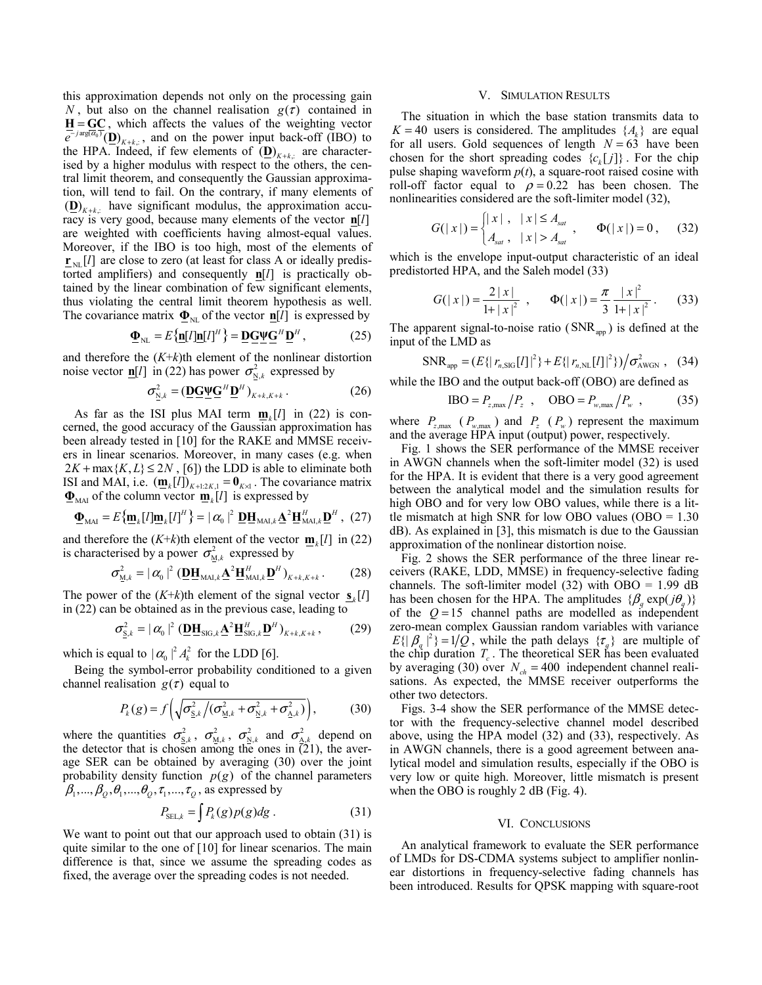this approximation depends not only on the processing gain *N*, but also on the channel realisation  $g(\tau)$  contained in  $H = \underline{GC}$ , which affects the values of the weighting vector  $\overline{e}^{-j\arg(\overline{\omega}_0)}(\underline{\mathbf{D}})_{K+k,:}$ , and on the power input back-off (IBO) to the HPA. Indeed, if few elements of  $(D)_{K+k}$  are characterised by a higher modulus with respect to the others, the central limit theorem, and consequently the Gaussian approximation, will tend to fail. On the contrary, if many elements of  $(D)_{K+k}$  have significant modulus, the approximation accuracy is very good, because many elements of the vector **n**[*l*] are weighted with coefficients having almost-equal values. Moreover, if the IBO is too high, most of the elements of  $\mathbf{r}_{\text{ML}}[l]$  are close to zero (at least for class A or ideally predistorted amplifiers) and consequently  $n[l]$  is practically obtained by the linear combination of few significant elements, thus violating the central limit theorem hypothesis as well. The covariance matrix  $\Phi_{\text{NL}}$  of the vector  $\mathbf{n}[l]$  is expressed by

$$
\mathbf{\underline{\Phi}}_{\rm NL} = E\{\mathbf{\underline{n}}[l]\mathbf{\underline{n}}[l]^H\} = \mathbf{\underline{D}}\mathbf{\underline{G}}\mathbf{\underline{\Psi}}\mathbf{\underline{G}}^H\mathbf{\underline{D}}^H,\tag{25}
$$

and therefore the  $(K+k)$ <sup>th</sup> element of the nonlinear distortion noise vector  $\underline{\mathbf{n}}[l]$  in (22) has power  $\sigma_{N,k}^2$  expressed by

$$
\sigma_{N,k}^2 = (\underline{\mathbf{D}} \underline{\mathbf{G}} \underline{\mathbf{W}} \underline{\mathbf{G}}^H \underline{\mathbf{D}}^H)_{K+k,K+k} \,. \tag{26}
$$

As far as the ISI plus MAI term  $m_k[l]$  in (22) is concerned, the good accuracy of the Gaussian approximation has been already tested in [10] for the RAKE and MMSE receivers in linear scenarios. Moreover, in many cases (e.g. when  $2K + \max\{K, L\} \leq 2N$ , [6]) the LDD is able to eliminate both ISI and MAI, i.e.  $(\mathbf{m}_k[l])_{K+1:2K,1} = \mathbf{0}_{K\times 1}$ . The covariance matrix  $\mathbf{\Phi}_{\text{MAI}}$  of the column vector  $\mathbf{m}_k[l]$  is expressed by

$$
\mathbf{\underline{\Phi}}_{\text{MAI}} = E\{\mathbf{\underline{m}}_k[I]\mathbf{\underline{m}}_k[I]^H\} = |\alpha_0|^2 \mathbf{\underline{D}}\mathbf{\underline{H}}_{\text{MAI},k}\mathbf{\underline{A}}^2\mathbf{\underline{H}}_{\text{MAI},k}^H\mathbf{\underline{D}}^H, (27)
$$

and therefore the  $(K+k)$ th element of the vector  $\mathbf{m}_k[l]$  in (22) is characterised by a power  $\sigma_{M,k}^2$  expressed by

$$
\sigma_{\underline{M},k}^2 = |\alpha_0|^2 \left( \underline{\mathbf{D}} \underline{\mathbf{H}}_{\text{MAI},k} \underline{\mathbf{A}}^2 \underline{\mathbf{H}}_{\text{MAI},k}^H \underline{\mathbf{D}}^H \right)_{K+k,K+k} .
$$
 (28)

The power of the  $(K+k)$ th element of the signal vector  $s_k[l]$ in (22) can be obtained as in the previous case, leading to

$$
\sigma_{\mathbf{S},k}^2 = |\alpha_0|^2 \left( \mathbf{D} \mathbf{H}_{\mathrm{SIG},k} \mathbf{\underline{A}}^2 \mathbf{H}_{\mathrm{SIG},k}^H \mathbf{\underline{D}}^H \right)_{K+k,K+k},\tag{29}
$$

which is equal to  $|\alpha_0|^2 A_k^2$  for the LDD [6].

Being the symbol-error probability conditioned to a given channel realisation  $g(\tau)$  equal to

$$
P_k(g) = f\left(\sqrt{\sigma_{\underline{S},k}^2/(\sigma_{\underline{M},k}^2 + \sigma_{\underline{N},k}^2 + \sigma_{\underline{A},k}^2)}\right),\tag{30}
$$

where the quantities  $\sigma_{S,k}^2$ ,  $\sigma_{M,k}^2$ ,  $\sigma_{N,k}^2$  and  $\sigma_{A,k}^2$  depend on the detector that is chosen among the ones in  $(21)$ , the average SER can be obtained by averaging (30) over the joint probability density function  $p(g)$  of the channel parameters  $\beta_1, ..., \beta_O, \theta_1, ..., \theta_O, \tau_1, ..., \tau_O$ , as expressed by

$$
P_{\text{SEL},k} = \int P_k(g)p(g)dg.
$$
 (31)

We want to point out that our approach used to obtain (31) is quite similar to the one of [10] for linear scenarios. The main difference is that, since we assume the spreading codes as fixed, the average over the spreading codes is not needed.

## V. SIMULATION RESULTS

The situation in which the base station transmits data to  $K = 40$  users is considered. The amplitudes  $\{A_k\}$  are equal for all users. Gold sequences of length  $N = 63$  have been chosen for the short spreading codes  ${c_k[j]}$ . For the chip pulse shaping waveform  $p(t)$ , a square-root raised cosine with roll-off factor equal to  $\rho = 0.22$  has been chosen. The nonlinearities considered are the soft-limiter model (32),

$$
G(|x|) = \begin{cases} |x|, & |x| \le A_{sat} \\ A_{sat}, & |x| > A_{sat} \end{cases}, \qquad \Phi(|x|) = 0, \qquad (32)
$$

which is the envelope input-output characteristic of an ideal predistorted HPA, and the Saleh model (33)

$$
G(|x|) = \frac{2|x|}{1+|x|^2}, \qquad \Phi(|x|) = \frac{\pi}{3} \frac{|x|^2}{1+|x|^2}.
$$
 (33)

The apparent signal-to-noise ratio  $(SNR_{\text{apo}})$  is defined at the input of the LMD as

$$
\text{SNR}_{\text{app}} = (E\{ | r_{n,\text{SIG}}[l]|^2 \} + E\{ | r_{n,\text{NL}}[l]|^2 \} ) / \sigma_{\text{AWGN}}^2 , \quad (34)
$$

while the IBO and the output back-off (OBO) are defined as

$$
IBO = P_{z, \text{max}} / P_z , \quad OBO = P_{w, \text{max}} / P_w , \quad (35)
$$

where  $P_{z, \text{max}}$  ( $P_{w, \text{max}}$ ) and  $P_{z}$  ( $P_{w}$ ) represent the maximum and the average HPA input (output) power, respectively.

Fig. 1 shows the SER performance of the MMSE receiver in AWGN channels when the soft-limiter model (32) is used for the HPA. It is evident that there is a very good agreement between the analytical model and the simulation results for high OBO and for very low OBO values, while there is a little mismatch at high SNR for low OBO values (OBO =  $1.30$ ) dB). As explained in [3], this mismatch is due to the Gaussian approximation of the nonlinear distortion noise.

Fig. 2 shows the SER performance of the three linear receivers (RAKE, LDD, MMSE) in frequency-selective fading channels. The soft-limiter model (32) with OBO =  $1.99$  dB has been chosen for the HPA. The amplitudes  $\{\beta_a \exp(j\theta_a)\}$ of the  $Q = 15$  channel paths are modelled as independent zero-mean complex Gaussian random variables with variance  $E\{|\beta_a|^2\} = 1/Q$ , while the path delays  $\{\tau_a\}$  are multiple of the chip duration  $T_c$ . The theoretical SER has been evaluated by averaging (30) over  $N_{ch} = 400$  independent channel realisations. As expected, the MMSE receiver outperforms the other two detectors.

Figs. 3-4 show the SER performance of the MMSE detector with the frequency-selective channel model described above, using the HPA model (32) and (33), respectively. As in AWGN channels, there is a good agreement between analytical model and simulation results, especially if the OBO is very low or quite high. Moreover, little mismatch is present when the OBO is roughly 2 dB (Fig. 4).

### VI. CONCLUSIONS

An analytical framework to evaluate the SER performance of LMDs for DS-CDMA systems subject to amplifier nonlinear distortions in frequency-selective fading channels has been introduced. Results for QPSK mapping with square-root